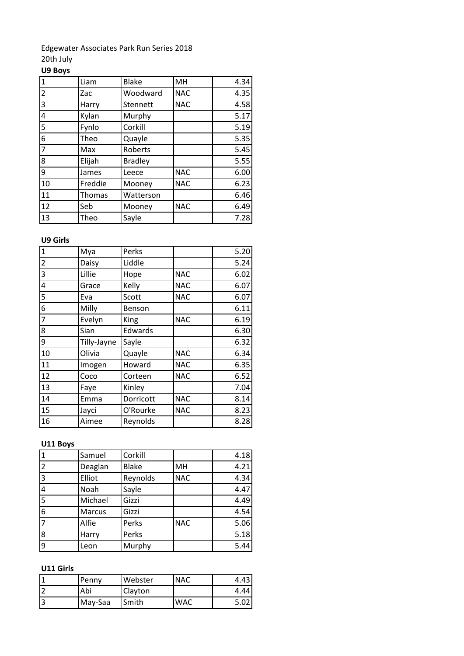Edgewater Associates Park Run Series 2018 20th July

## **U9 Boys**

| $\mathbf{1}$            | Liam    | <b>Blake</b>   | MH         | 4.34 |
|-------------------------|---------|----------------|------------|------|
| $\overline{2}$          | Zac     | Woodward       | <b>NAC</b> | 4.35 |
| 3                       | Harry   | Stennett       | <b>NAC</b> | 4.58 |
| $\overline{\mathbf{4}}$ | Kylan   | Murphy         |            | 5.17 |
| 5                       | Fynlo   | Corkill        |            | 5.19 |
| 6                       | Theo    | Quayle         |            | 5.35 |
| $\overline{7}$          | Max     | Roberts        |            | 5.45 |
| 8                       | Elijah  | <b>Bradley</b> |            | 5.55 |
| 9                       | James   | Leece          | <b>NAC</b> | 6.00 |
| 10                      | Freddie | Mooney         | <b>NAC</b> | 6.23 |
| 11                      | Thomas  | Watterson      |            | 6.46 |
| 12                      | Seb     | Mooney         | <b>NAC</b> | 6.49 |
| 13                      | Theo    | Sayle          |            | 7.28 |

## **U9 Girls**

| $\mathbf{1}$   | Mya         | Perks     |            | 5.20 |
|----------------|-------------|-----------|------------|------|
| $\overline{2}$ | Daisy       | Liddle    |            | 5.24 |
| 3              | Lillie      | Hope      | <b>NAC</b> | 6.02 |
| 4              | Grace       | Kelly     | <b>NAC</b> | 6.07 |
| 5              | Eva         | Scott     | <b>NAC</b> | 6.07 |
| 6              | Milly       | Benson    |            | 6.11 |
| $\overline{7}$ | Evelyn      | King      | <b>NAC</b> | 6.19 |
| 8              | Sian        | Edwards   |            | 6.30 |
| 9              | Tilly-Jayne | Sayle     |            | 6.32 |
| 10             | Olivia      | Quayle    | <b>NAC</b> | 6.34 |
| 11             | Imogen      | Howard    | <b>NAC</b> | 6.35 |
| 12             | Coco        | Corteen   | <b>NAC</b> | 6.52 |
| 13             | Faye        | Kinley    |            | 7.04 |
| 14             | Emma        | Dorricott | <b>NAC</b> | 8.14 |
| 15             | Jayci       | O'Rourke  | <b>NAC</b> | 8.23 |
| 16             | Aimee       | Reynolds  |            | 8.28 |

## **U11 Boys**

| $\overline{\mathbf{1}}$ | Samuel  | Corkill      |            | 4.18 |
|-------------------------|---------|--------------|------------|------|
| 2                       | Deaglan | <b>Blake</b> | MH         | 4.21 |
| $\overline{3}$          | Elliot  | Reynolds     | <b>NAC</b> | 4.34 |
| $\overline{4}$          | Noah    | Sayle        |            | 4.47 |
| 5                       | Michael | Gizzi        |            | 4.49 |
| $\overline{6}$          | Marcus  | Gizzi        |            | 4.54 |
| 7                       | Alfie   | Perks        | <b>NAC</b> | 5.06 |
| $\overline{8}$          | Harry   | Perks        |            | 5.18 |
| 9                       | Leon    | Murphy       |            | 5.44 |

## **U11 Girls**

| Penny   | Webster | <b>NAC</b> | 4.43 |
|---------|---------|------------|------|
| Abi     | Clayton |            | 4.44 |
| May-Saa | Smith   | WAC        |      |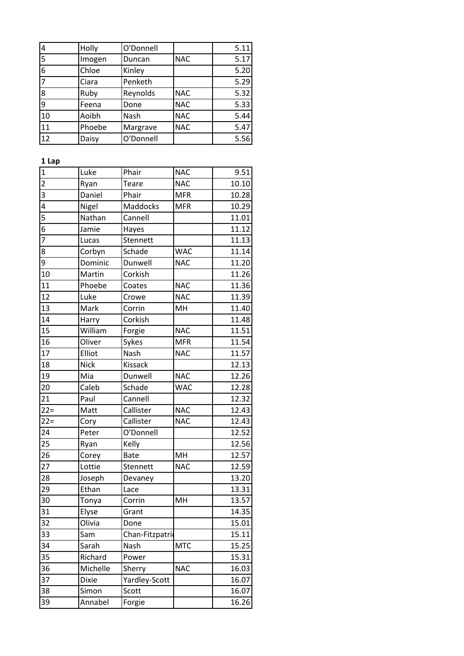| 4              | Holly        | O'Donnell      |            | 5.11  |
|----------------|--------------|----------------|------------|-------|
| $\overline{5}$ | Imogen       | Duncan         | <b>NAC</b> | 5.17  |
| $\overline{6}$ | Chloe        | Kinley         |            | 5.20  |
| $\overline{7}$ | Ciara        | Penketh        |            | 5.29  |
| 8              | Ruby         | Reynolds       | <b>NAC</b> | 5.32  |
| 9              | Feena        | Done           | <b>NAC</b> | 5.33  |
| 10             | Aoibh        | Nash           | <b>NAC</b> | 5.44  |
| 11             | Phoebe       | Margrave       | <b>NAC</b> | 5.47  |
| 12             | Daisy        | O'Donnell      |            | 5.56  |
| 1 Lap          |              |                |            |       |
| $\overline{1}$ | Luke         | Phair          | <b>NAC</b> | 9.51  |
| $\overline{2}$ | Ryan         | Teare          | <b>NAC</b> | 10.10 |
| $\overline{3}$ | Daniel       | Phair          | <b>MFR</b> | 10.28 |
| $\overline{4}$ | Nigel        | Maddocks       | <b>MFR</b> | 10.29 |
| 5              | Nathan       | Cannell        |            | 11.01 |
| $\overline{6}$ | Jamie        | Hayes          |            | 11.12 |
| $\overline{7}$ | Lucas        | Stennett       |            | 11.13 |
| 8              | Corbyn       | Schade         | <b>WAC</b> | 11.14 |
| 9              | Dominic      | Dunwell        | <b>NAC</b> | 11.20 |
| 10             | Martin       | Corkish        |            | 11.26 |
| 11             | Phoebe       | Coates         | <b>NAC</b> | 11.36 |
| 12             | Luke         | Crowe          | <b>NAC</b> | 11.39 |
| 13             | Mark         | Corrin         | MH         | 11.40 |
| 14             | Harry        | Corkish        |            | 11.48 |
| 15             | William      | Forgie         | <b>NAC</b> | 11.51 |
| 16             | Oliver       | Sykes          | <b>MFR</b> | 11.54 |
| 17             | Elliot       | Nash           | <b>NAC</b> | 11.57 |
| 18             | <b>Nick</b>  | Kissack        |            | 12.13 |
| 19             | Mia          | Dunwell        | <b>NAC</b> | 12.26 |
| 20             | Caleb        | Schade         | <b>WAC</b> | 12.28 |
| 21             | Paul         | Cannell        |            | 12.32 |
| $22 =$         | Matt         | Callister      | <b>NAC</b> | 12.43 |
| $22 =$         | Cory         | Callister      | <b>NAC</b> | 12.43 |
| 24             | Peter        | O'Donnell      |            | 12.52 |
| 25             | Ryan         | Kelly          |            | 12.56 |
| 26             | Corey        | <b>Bate</b>    | MH         | 12.57 |
| 27             | Lottie       | Stennett       | <b>NAC</b> | 12.59 |
| 28             | Joseph       | Devaney        |            | 13.20 |
| 29             | Ethan        | Lace           |            | 13.31 |
| 30             | Tonya        | Corrin         | MH         | 13.57 |
| 31             | Elyse        | Grant          |            | 14.35 |
| 32             | Olivia       | Done           |            | 15.01 |
| 33             | Sam          | Chan-Fitzpatri |            | 15.11 |
| 34             | Sarah        | Nash           | <b>MTC</b> | 15.25 |
| 35             | Richard      | Power          |            | 15.31 |
| 36             | Michelle     | Sherry         | <b>NAC</b> | 16.03 |
| 37             | <b>Dixie</b> | Yardley-Scott  |            | 16.07 |
| 38             | Simon        | Scott          |            | 16.07 |
| 39             | Annabel      |                |            | 16.26 |
|                |              | Forgie         |            |       |